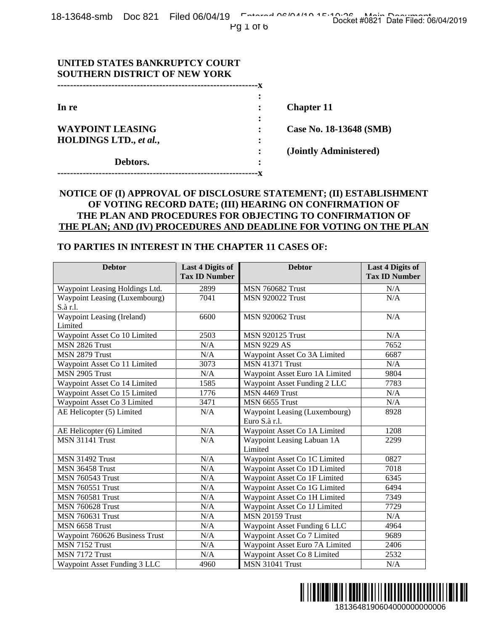| UNITED STATES BANKRUPTCY COURT<br><b>SOUTHERN DISTRICT OF NEW YORK</b> |                         |
|------------------------------------------------------------------------|-------------------------|
|                                                                        |                         |
|                                                                        |                         |
| In re                                                                  | <b>Chapter 11</b>       |
|                                                                        |                         |
| <b>WAYPOINT LEASING</b>                                                | Case No. 18-13648 (SMB) |
| <b>HOLDINGS LTD., et al.,</b>                                          |                         |
|                                                                        | (Jointly Administered)  |
| Debtors.                                                               |                         |
|                                                                        |                         |

## **NOTICE OF (I) APPROVAL OF DISCLOSURE STATEMENT; (II) ESTABLISHMENT OF VOTING RECORD DATE; (III) HEARING ON CONFIRMATION OF THE PLAN AND PROCEDURES FOR OBJECTING TO CONFIRMATION OF THE PLAN; AND (IV) PROCEDURES AND DEADLINE FOR VOTING ON THE PLAN**

#### **TO PARTIES IN INTEREST IN THE CHAPTER 11 CASES OF:**

|                                                                                                                                                                                                                                                                                                                                                                                                                                                                               |                                                 | --x                                                                                                                           |                                                   |  |
|-------------------------------------------------------------------------------------------------------------------------------------------------------------------------------------------------------------------------------------------------------------------------------------------------------------------------------------------------------------------------------------------------------------------------------------------------------------------------------|-------------------------------------------------|-------------------------------------------------------------------------------------------------------------------------------|---------------------------------------------------|--|
| In re<br><b>Chapter 11</b><br><b>WAYPOINT LEASING</b><br>HOLDINGS LTD., et al.,<br>Debtors.                                                                                                                                                                                                                                                                                                                                                                                   |                                                 |                                                                                                                               |                                                   |  |
|                                                                                                                                                                                                                                                                                                                                                                                                                                                                               |                                                 |                                                                                                                               | Case No. 18-13648 (SMB)<br>(Jointly Administered) |  |
|                                                                                                                                                                                                                                                                                                                                                                                                                                                                               |                                                 |                                                                                                                               |                                                   |  |
|                                                                                                                                                                                                                                                                                                                                                                                                                                                                               |                                                 |                                                                                                                               |                                                   |  |
|                                                                                                                                                                                                                                                                                                                                                                                                                                                                               |                                                 |                                                                                                                               |                                                   |  |
|                                                                                                                                                                                                                                                                                                                                                                                                                                                                               |                                                 | NOTICE OF (I) APPROVAL OF DISCLOSURE STATEMENT; (II) ESTABLISHMENT<br>OF VOTING RECORD DATE; (III) HEARING ON CONFIRMATION OF |                                                   |  |
|                                                                                                                                                                                                                                                                                                                                                                                                                                                                               |                                                 | THE PLAN AND PROCEDURES FOR OBJECTING TO CONFIRMATION OF                                                                      |                                                   |  |
|                                                                                                                                                                                                                                                                                                                                                                                                                                                                               |                                                 | THE PLAN; AND (IV) PROCEDURES AND DEADLINE FOR VOTING ON THE PLAN                                                             |                                                   |  |
| TO PARTIES IN INTEREST IN THE CHAPTER 11 CASES OF:                                                                                                                                                                                                                                                                                                                                                                                                                            |                                                 |                                                                                                                               |                                                   |  |
|                                                                                                                                                                                                                                                                                                                                                                                                                                                                               |                                                 |                                                                                                                               |                                                   |  |
| <b>Debtor</b>                                                                                                                                                                                                                                                                                                                                                                                                                                                                 | <b>Last 4 Digits of</b><br><b>Tax ID Number</b> | <b>Debtor</b>                                                                                                                 | <b>Last 4 Digits of</b><br><b>Tax ID Number</b>   |  |
| Waypoint Leasing Holdings Ltd.                                                                                                                                                                                                                                                                                                                                                                                                                                                | 2899                                            | <b>MSN 760682 Trust</b>                                                                                                       | N/A                                               |  |
| Waypoint Leasing (Luxembourg)                                                                                                                                                                                                                                                                                                                                                                                                                                                 | 7041                                            | <b>MSN 920022 Trust</b>                                                                                                       | N/A                                               |  |
| S.à r.l.<br>Waypoint Leasing (Ireland)                                                                                                                                                                                                                                                                                                                                                                                                                                        | 6600                                            | <b>MSN 920062 Trust</b>                                                                                                       | N/A                                               |  |
| Limited                                                                                                                                                                                                                                                                                                                                                                                                                                                                       |                                                 |                                                                                                                               |                                                   |  |
| Waypoint Asset Co 10 Limited                                                                                                                                                                                                                                                                                                                                                                                                                                                  | 2503                                            | <b>MSN 920125 Trust</b>                                                                                                       | N/A                                               |  |
| MSN 2826 Trust                                                                                                                                                                                                                                                                                                                                                                                                                                                                | N/A                                             | <b>MSN 9229 AS</b>                                                                                                            | 7652                                              |  |
| MSN 2879 Trust                                                                                                                                                                                                                                                                                                                                                                                                                                                                | N/A                                             | Waypoint Asset Co 3A Limited                                                                                                  | 6687                                              |  |
| Waypoint Asset Co 11 Limited                                                                                                                                                                                                                                                                                                                                                                                                                                                  | 3073                                            | <b>MSN 41371 Trust</b>                                                                                                        | N/A                                               |  |
|                                                                                                                                                                                                                                                                                                                                                                                                                                                                               | N/A                                             | Waypoint Asset Euro 1A Limited                                                                                                | 9804                                              |  |
|                                                                                                                                                                                                                                                                                                                                                                                                                                                                               | 1585                                            | Waypoint Asset Funding 2 LLC                                                                                                  | 7783                                              |  |
|                                                                                                                                                                                                                                                                                                                                                                                                                                                                               |                                                 |                                                                                                                               |                                                   |  |
|                                                                                                                                                                                                                                                                                                                                                                                                                                                                               | 1776                                            | MSN 4469 Trust                                                                                                                | N/A                                               |  |
|                                                                                                                                                                                                                                                                                                                                                                                                                                                                               | 3471                                            | MSN 6655 Trust                                                                                                                | $\rm N/A$                                         |  |
|                                                                                                                                                                                                                                                                                                                                                                                                                                                                               | N/A                                             | Waypoint Leasing (Luxembourg)                                                                                                 | 8928                                              |  |
|                                                                                                                                                                                                                                                                                                                                                                                                                                                                               |                                                 | Euro S.à r.l.                                                                                                                 |                                                   |  |
|                                                                                                                                                                                                                                                                                                                                                                                                                                                                               | N/A                                             | Waypoint Asset Co 1A Limited                                                                                                  | 1208                                              |  |
|                                                                                                                                                                                                                                                                                                                                                                                                                                                                               | N/A                                             | Waypoint Leasing Labuan 1A                                                                                                    | 2299                                              |  |
|                                                                                                                                                                                                                                                                                                                                                                                                                                                                               |                                                 | Limited                                                                                                                       |                                                   |  |
|                                                                                                                                                                                                                                                                                                                                                                                                                                                                               | N/A                                             | Waypoint Asset Co 1C Limited                                                                                                  | 0827                                              |  |
|                                                                                                                                                                                                                                                                                                                                                                                                                                                                               | N/A                                             | Waypoint Asset Co 1D Limited                                                                                                  | 7018                                              |  |
|                                                                                                                                                                                                                                                                                                                                                                                                                                                                               | N/A                                             | Waypoint Asset Co 1F Limited                                                                                                  | 6345                                              |  |
|                                                                                                                                                                                                                                                                                                                                                                                                                                                                               | N/A                                             | Waypoint Asset Co 1G Limited                                                                                                  | 6494                                              |  |
|                                                                                                                                                                                                                                                                                                                                                                                                                                                                               | N/A                                             | Waypoint Asset Co 1H Limited                                                                                                  | 7349                                              |  |
|                                                                                                                                                                                                                                                                                                                                                                                                                                                                               | N/A                                             | Waypoint Asset Co 1J Limited                                                                                                  | 7729                                              |  |
|                                                                                                                                                                                                                                                                                                                                                                                                                                                                               | N/A                                             | <b>MSN 20159 Trust</b>                                                                                                        | N/A                                               |  |
|                                                                                                                                                                                                                                                                                                                                                                                                                                                                               | N/A                                             | Waypoint Asset Funding 6 LLC                                                                                                  | 4964                                              |  |
|                                                                                                                                                                                                                                                                                                                                                                                                                                                                               | N/A                                             | Waypoint Asset Co 7 Limited                                                                                                   | 9689                                              |  |
| MSN 2905 Trust<br>Waypoint Asset Co 14 Limited<br>Waypoint Asset Co 15 Limited<br>Waypoint Asset Co 3 Limited<br>AE Helicopter (5) Limited<br>AE Helicopter (6) Limited<br><b>MSN 31141 Trust</b><br><b>MSN 31492 Trust</b><br>MSN 36458 Trust<br><b>MSN 760543 Trust</b><br><b>MSN 760551 Trust</b><br><b>MSN 760581 Trust</b><br><b>MSN 760628 Trust</b><br><b>MSN 760631 Trust</b><br>MSN 6658 Trust<br>Waypoint 760626 Business Trust<br>MSN 7152 Trust<br>MSN 7172 Trust | N/A<br>N/A                                      | Waypoint Asset Euro 7A Limited<br>Waypoint Asset Co 8 Limited                                                                 | 2406<br>2532                                      |  |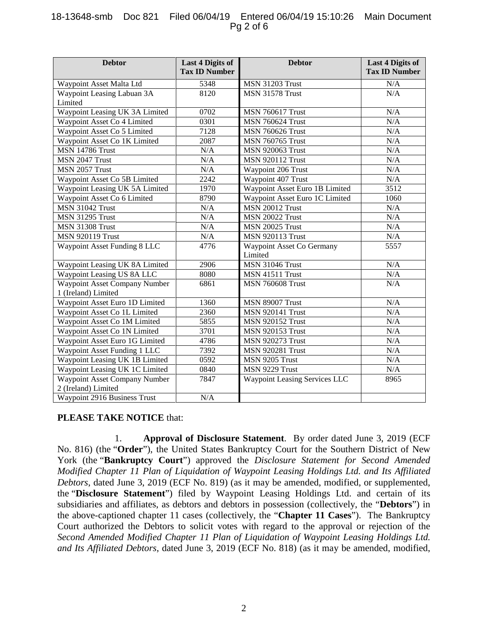### 18-13648-smb Doc 821 Filed 06/04/19 Entered 06/04/19 15:10:26 Main Document Pg 2 of 6

| <b>Debtor</b>                        | <b>Last 4 Digits of</b><br><b>Tax ID Number</b> | <b>Debtor</b>                        | <b>Last 4 Digits of</b><br><b>Tax ID Number</b> |
|--------------------------------------|-------------------------------------------------|--------------------------------------|-------------------------------------------------|
|                                      |                                                 |                                      |                                                 |
| Waypoint Asset Malta Ltd             | 5348                                            | <b>MSN 31203 Trust</b>               | N/A                                             |
| Waypoint Leasing Labuan 3A           | 8120                                            | <b>MSN 31578 Trust</b>               | N/A                                             |
| Limited                              |                                                 |                                      |                                                 |
| Waypoint Leasing UK 3A Limited       | 0702                                            | <b>MSN 760617 Trust</b>              | N/A                                             |
| Waypoint Asset Co 4 Limited          | 0301                                            | <b>MSN 760624 Trust</b>              | N/A                                             |
| Waypoint Asset Co 5 Limited          | 7128                                            | <b>MSN 760626 Trust</b>              | N/A                                             |
| Waypoint Asset Co 1K Limited         | 2087                                            | <b>MSN 760765 Trust</b>              | N/A                                             |
| <b>MSN 14786 Trust</b>               | N/A                                             | <b>MSN 920063 Trust</b>              | N/A                                             |
| MSN 2047 Trust                       | N/A                                             | <b>MSN 920112 Trust</b>              | N/A                                             |
| MSN 2057 Trust                       | N/A                                             | Waypoint 206 Trust                   | N/A                                             |
| Waypoint Asset Co 5B Limited         | 2242                                            | Waypoint 407 Trust                   | N/A                                             |
| Waypoint Leasing UK 5A Limited       | 1970                                            | Waypoint Asset Euro 1B Limited       | 3512                                            |
| Waypoint Asset Co 6 Limited          | 8790                                            | Waypoint Asset Euro 1C Limited       | 1060                                            |
| <b>MSN 31042 Trust</b>               | N/A                                             | <b>MSN 20012 Trust</b>               | N/A                                             |
| <b>MSN 31295 Trust</b>               | N/A                                             | <b>MSN 20022 Trust</b>               | N/A                                             |
| <b>MSN 31308 Trust</b>               | N/A                                             | <b>MSN 20025 Trust</b>               | N/A                                             |
| <b>MSN 920119 Trust</b>              | N/A                                             | <b>MSN 920113 Trust</b>              | N/A                                             |
| Waypoint Asset Funding 8 LLC         | 4776                                            | Waypoint Asset Co Germany<br>Limited | 5557                                            |
| Waypoint Leasing UK 8A Limited       | 2906                                            | MSN 31046 Trust                      | N/A                                             |
| Waypoint Leasing US 8A LLC           | 8080                                            | MSN 41511 Trust                      | N/A                                             |
| Waypoint Asset Company Number        | 6861                                            | <b>MSN 760608 Trust</b>              | N/A                                             |
| 1 (Ireland) Limited                  |                                                 |                                      |                                                 |
| Waypoint Asset Euro 1D Limited       | 1360                                            | <b>MSN 89007 Trust</b>               | N/A                                             |
| Waypoint Asset Co 1L Limited         | 2360                                            | <b>MSN 920141 Trust</b>              | N/A                                             |
| Waypoint Asset Co 1M Limited         | 5855                                            | <b>MSN 920152 Trust</b>              | N/A                                             |
| Waypoint Asset Co 1N Limited         | 3701                                            | <b>MSN 920153 Trust</b>              | N/A                                             |
| Waypoint Asset Euro 1G Limited       | 4786                                            | <b>MSN 920273 Trust</b>              | N/A                                             |
| Waypoint Asset Funding 1 LLC         | 7392                                            | <b>MSN 920281 Trust</b>              | N/A                                             |
| Waypoint Leasing UK 1B Limited       | 0592                                            | MSN 9205 Trust                       | N/A                                             |
| Waypoint Leasing UK 1C Limited       | 0840                                            | MSN 9229 Trust                       | N/A                                             |
| <b>Waypoint Asset Company Number</b> | 7847                                            | <b>Waypoint Leasing Services LLC</b> | 8965                                            |
| 2 (Ireland) Limited                  |                                                 |                                      |                                                 |
| Waypoint 2916 Business Trust         | N/A                                             |                                      |                                                 |

# **PLEASE TAKE NOTICE** that:

1. **Approval of Disclosure Statement**. By order dated June 3, 2019 (ECF No. 816) (the "**Order**"), the United States Bankruptcy Court for the Southern District of New York (the "**Bankruptcy Court**") approved the *Disclosure Statement for Second Amended Modified Chapter 11 Plan of Liquidation of Waypoint Leasing Holdings Ltd. and Its Affiliated Debtors*, dated June 3, 2019 (ECF No. 819) (as it may be amended, modified, or supplemented, the "**Disclosure Statement**") filed by Waypoint Leasing Holdings Ltd. and certain of its subsidiaries and affiliates, as debtors and debtors in possession (collectively, the "**Debtors**") in the above-captioned chapter 11 cases (collectively, the "**Chapter 11 Cases**"). The Bankruptcy Court authorized the Debtors to solicit votes with regard to the approval or rejection of the *Second Amended Modified Chapter 11 Plan of Liquidation of Waypoint Leasing Holdings Ltd. and Its Affiliated Debtors*, dated June 3, 2019 (ECF No. 818) (as it may be amended, modified,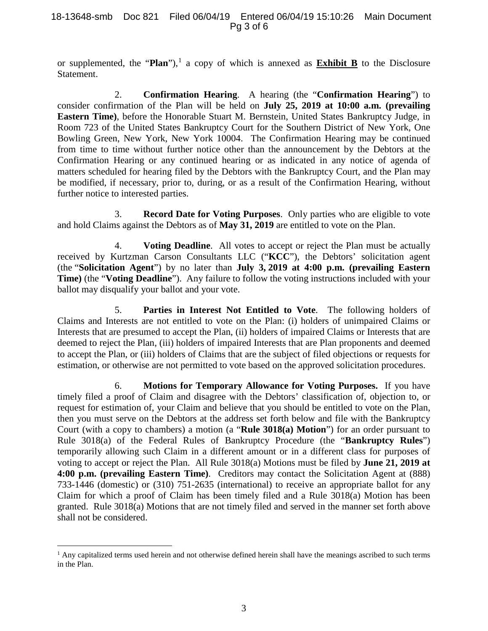or supplemented, the "**Plan**"),<sup>[1](#page-2-0)</sup> a copy of which is annexed as **Exhibit B** to the Disclosure Statement.

2. **Confirmation Hearing**. A hearing (the "**Confirmation Hearing**") to consider confirmation of the Plan will be held on **July 25, 2019 at 10:00 a.m. (prevailing Eastern Time)**, before the Honorable Stuart M. Bernstein, United States Bankruptcy Judge, in Room 723 of the United States Bankruptcy Court for the Southern District of New York, One Bowling Green, New York, New York 10004. The Confirmation Hearing may be continued from time to time without further notice other than the announcement by the Debtors at the Confirmation Hearing or any continued hearing or as indicated in any notice of agenda of matters scheduled for hearing filed by the Debtors with the Bankruptcy Court, and the Plan may be modified, if necessary, prior to, during, or as a result of the Confirmation Hearing, without further notice to interested parties.

3. **Record Date for Voting Purposes**. Only parties who are eligible to vote and hold Claims against the Debtors as of **May 31, 2019** are entitled to vote on the Plan.

4. **Voting Deadline**. All votes to accept or reject the Plan must be actually received by Kurtzman Carson Consultants LLC ("**KCC**"), the Debtors' solicitation agent (the "**Solicitation Agent**") by no later than **July 3, 2019 at 4:00 p.m. (prevailing Eastern Time)** (the "**Voting Deadline**"). Any failure to follow the voting instructions included with your ballot may disqualify your ballot and your vote.

5. **Parties in Interest Not Entitled to Vote**. The following holders of Claims and Interests are not entitled to vote on the Plan: (i) holders of unimpaired Claims or Interests that are presumed to accept the Plan, (ii) holders of impaired Claims or Interests that are deemed to reject the Plan, (iii) holders of impaired Interests that are Plan proponents and deemed to accept the Plan, or (iii) holders of Claims that are the subject of filed objections or requests for estimation, or otherwise are not permitted to vote based on the approved solicitation procedures.

6. **Motions for Temporary Allowance for Voting Purposes.** If you have timely filed a proof of Claim and disagree with the Debtors' classification of, objection to, or request for estimation of, your Claim and believe that you should be entitled to vote on the Plan, then you must serve on the Debtors at the address set forth below and file with the Bankruptcy Court (with a copy to chambers) a motion (a "**Rule 3018(a) Motion**") for an order pursuant to Rule 3018(a) of the Federal Rules of Bankruptcy Procedure (the "**Bankruptcy Rules**") temporarily allowing such Claim in a different amount or in a different class for purposes of voting to accept or reject the Plan. All Rule 3018(a) Motions must be filed by **June 21, 2019 at 4:00 p.m. (prevailing Eastern Time)**. Creditors may contact the Solicitation Agent at (888) 733-1446 (domestic) or (310) 751-2635 (international) to receive an appropriate ballot for any Claim for which a proof of Claim has been timely filed and a Rule 3018(a) Motion has been granted. Rule 3018(a) Motions that are not timely filed and served in the manner set forth above shall not be considered.

<span id="page-2-0"></span> $<sup>1</sup>$  Any capitalized terms used herein and not otherwise defined herein shall have the meanings ascribed to such terms</sup> in the Plan.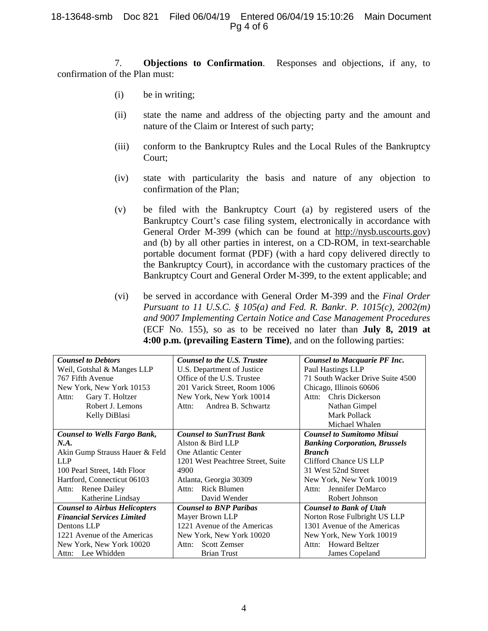7. **Objections to Confirmation**. Responses and objections, if any, to confirmation of the Plan must:

- (i) be in writing;
- (ii) state the name and address of the objecting party and the amount and nature of the Claim or Interest of such party;
- (iii) conform to the Bankruptcy Rules and the Local Rules of the Bankruptcy Court;
- (iv) state with particularity the basis and nature of any objection to confirmation of the Plan;
- (v) be filed with the Bankruptcy Court (a) by registered users of the Bankruptcy Court's case filing system, electronically in accordance with General Order M-399 (which can be found at http://nysb.uscourts.gov) and (b) by all other parties in interest, on a CD-ROM, in text-searchable portable document format (PDF) (with a hard copy delivered directly to the Bankruptcy Court), in accordance with the customary practices of the Bankruptcy Court and General Order M-399, to the extent applicable; and
- (vi) be served in accordance with General Order M-399 and the *Final Order Pursuant to 11 U.S.C. § 105(a) and Fed. R. Bankr. P. 1015(c), 2002(m) and 9007 Implementing Certain Notice and Case Management Procedures*  (ECF No. 155), so as to be received no later than **July 8, 2019 at 4:00 p.m. (prevailing Eastern Time)**, and on the following parties:

| <b>Counsel to Debtors</b>            | <b>Counsel to the U.S. Trustee</b> | <b>Counsel to Macquarie PF Inc.</b>  |
|--------------------------------------|------------------------------------|--------------------------------------|
| Weil, Gotshal & Manges LLP           | U.S. Department of Justice         | Paul Hastings LLP                    |
| 767 Fifth Avenue                     | Office of the U.S. Trustee         | 71 South Wacker Drive Suite 4500     |
| New York, New York 10153             | 201 Varick Street, Room 1006       | Chicago, Illinois 60606              |
| Gary T. Holtzer<br>Attn:             | New York, New York 10014           | Chris Dickerson<br>Attn:             |
| Robert J. Lemons                     | Andrea B. Schwartz<br>Attn:        | Nathan Gimpel                        |
| Kelly DiBlasi                        |                                    | Mark Pollack                         |
|                                      |                                    | Michael Whalen                       |
| <b>Counsel to Wells Fargo Bank,</b>  | <b>Counsel to SunTrust Bank</b>    | <b>Counsel to Sumitomo Mitsui</b>    |
| N.A.                                 | Alston & Bird LLP                  | <b>Banking Corporation, Brussels</b> |
| Akin Gump Strauss Hauer & Feld       | One Atlantic Center                | <b>Branch</b>                        |
| <b>LLP</b>                           | 1201 West Peachtree Street, Suite  | Clifford Chance US LLP               |
| 100 Pearl Street, 14th Floor         | 4900                               | 31 West 52nd Street                  |
| Hartford, Connecticut 06103          | Atlanta, Georgia 30309             | New York, New York 10019             |
| Renee Dailey<br>Attn:                | <b>Rick Blumen</b><br>Attn:        | Jennifer DeMarco<br>Attn:            |
| Katherine Lindsay                    | David Wender                       | Robert Johnson                       |
| <b>Counsel to Airbus Helicopters</b> | <b>Counsel to BNP Paribas</b>      | <b>Counsel to Bank of Utah</b>       |
| <b>Financial Services Limited</b>    | Mayer Brown LLP                    | Norton Rose Fulbright US LLP         |
| Dentons LLP                          | 1221 Avenue of the Americas        | 1301 Avenue of the Americas          |
| 1221 Avenue of the Americas          | New York, New York 10020           | New York, New York 10019             |
| New York, New York 10020             | <b>Scott Zemser</b><br>Attn:       | <b>Howard Beltzer</b><br>Attn:       |
| Attn: Lee Whidden                    | <b>Brian Trust</b>                 | James Copeland                       |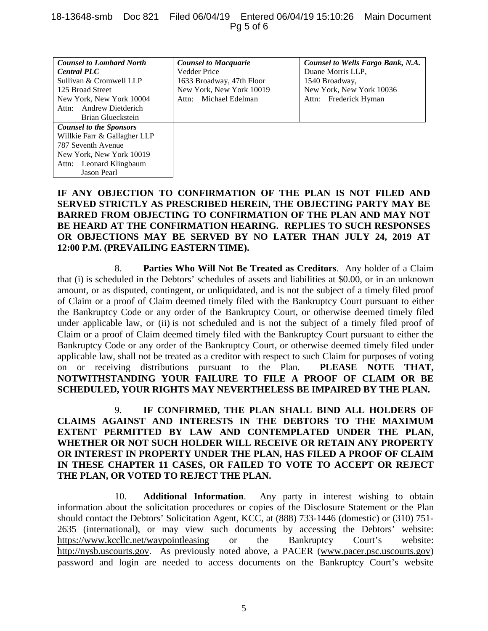### 18-13648-smb Doc 821 Filed 06/04/19 Entered 06/04/19 15:10:26 Main Document Pg 5 of 6

| <b>Counsel to Lombard North</b> | <b>Counsel to Macquarie</b> | Counsel to Wells Fargo Bank, N.A. |
|---------------------------------|-----------------------------|-----------------------------------|
| <b>Central PLC</b>              | <b>Vedder Price</b>         | Duane Morris LLP.                 |
| Sullivan & Cromwell LLP         | 1633 Broadway, 47th Floor   | 1540 Broadway,                    |
| 125 Broad Street                | New York, New York 10019    | New York, New York 10036          |
| New York, New York 10004        | Attn: Michael Edelman       | Attn: Frederick Hyman             |
| Andrew Dietderich<br>Attn:      |                             |                                   |
| Brian Glueckstein               |                             |                                   |
| <b>Counsel to the Sponsors</b>  |                             |                                   |
| Willkie Farr & Gallagher LLP    |                             |                                   |
| 787 Seventh Avenue              |                             |                                   |
| New York, New York 10019        |                             |                                   |
| Attn: Leonard Klingbaum         |                             |                                   |
| Jason Pearl                     |                             |                                   |

# **IF ANY OBJECTION TO CONFIRMATION OF THE PLAN IS NOT FILED AND SERVED STRICTLY AS PRESCRIBED HEREIN, THE OBJECTING PARTY MAY BE BARRED FROM OBJECTING TO CONFIRMATION OF THE PLAN AND MAY NOT BE HEARD AT THE CONFIRMATION HEARING. REPLIES TO SUCH RESPONSES OR OBJECTIONS MAY BE SERVED BY NO LATER THAN JULY 24, 2019 AT 12:00 P.M. (PREVAILING EASTERN TIME).**

8. **Parties Who Will Not Be Treated as Creditors**. Any holder of a Claim that (i) is scheduled in the Debtors' schedules of assets and liabilities at \$0.00, or in an unknown amount, or as disputed, contingent, or unliquidated, and is not the subject of a timely filed proof of Claim or a proof of Claim deemed timely filed with the Bankruptcy Court pursuant to either the Bankruptcy Code or any order of the Bankruptcy Court, or otherwise deemed timely filed under applicable law, or (ii) is not scheduled and is not the subject of a timely filed proof of Claim or a proof of Claim deemed timely filed with the Bankruptcy Court pursuant to either the Bankruptcy Code or any order of the Bankruptcy Court, or otherwise deemed timely filed under applicable law, shall not be treated as a creditor with respect to such Claim for purposes of voting on or receiving distributions pursuant to the Plan. **PLEASE NOTE THAT, NOTWITHSTANDING YOUR FAILURE TO FILE A PROOF OF CLAIM OR BE SCHEDULED, YOUR RIGHTS MAY NEVERTHELESS BE IMPAIRED BY THE PLAN.**

9. **IF CONFIRMED, THE PLAN SHALL BIND ALL HOLDERS OF CLAIMS AGAINST AND INTERESTS IN THE DEBTORS TO THE MAXIMUM EXTENT PERMITTED BY LAW AND CONTEMPLATED UNDER THE PLAN, WHETHER OR NOT SUCH HOLDER WILL RECEIVE OR RETAIN ANY PROPERTY OR INTEREST IN PROPERTY UNDER THE PLAN, HAS FILED A PROOF OF CLAIM IN THESE CHAPTER 11 CASES, OR FAILED TO VOTE TO ACCEPT OR REJECT THE PLAN, OR VOTED TO REJECT THE PLAN.**

10. **Additional Information**. Any party in interest wishing to obtain information about the solicitation procedures or copies of the Disclosure Statement or the Plan should contact the Debtors' Solicitation Agent, KCC, at (888) 733-1446 (domestic) or (310) 751- 2635 (international), or may view such documents by accessing the Debtors' website: https://www.kccllc.net/waypointleasing or the Bankruptcy Court's website: http://nysb.uscourts.gov. As previously noted above, a PACER (www.pacer.psc.uscourts.gov) password and login are needed to access documents on the Bankruptcy Court's website